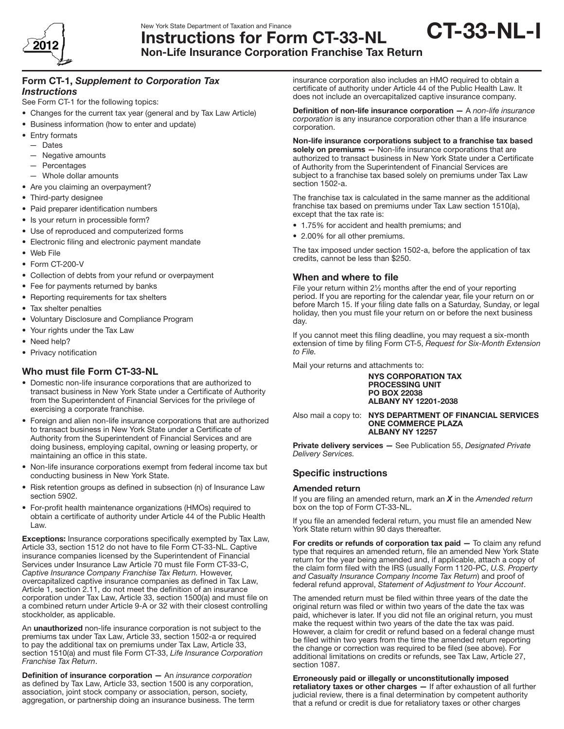

# Instructions for Form CT-33-NL Non-Life Insurance Corporation Franchise Tax Return

# Form CT-1, *Supplement to Corporation Tax Instructions*

See Form CT-1 for the following topics:

- Changes for the current tax year (general and by Tax Law Article)
- Business information (how to enter and update)
- Entry formats
- Dates
- — Negative amounts
- Percentages
- — Whole dollar amounts
- Are you claiming an overpayment?
- Third-party designee
- Paid preparer identification numbers
- Is your return in processible form?
- Use of reproduced and computerized forms
- • Electronic filing and electronic payment mandate
- • Web File
- Form CT-200-V
- Collection of debts from your refund or overpayment
- Fee for payments returned by banks
- Reporting requirements for tax shelters
- Tax shelter penalties
- • Voluntary Disclosure and Compliance Program
- Your rights under the Tax Law
- Need help?
- Privacy notification

# Who must file Form CT-33-NL

- • Domestic non-life insurance corporations that are authorized to transact business in New York State under a Certificate of Authority from the Superintendent of Financial Services for the privilege of exercising a corporate franchise.
- Foreign and alien non-life insurance corporations that are authorized to transact business in New York State under a Certificate of Authority from the Superintendent of Financial Services and are doing business, employing capital, owning or leasing property, or maintaining an office in this state.
- Non-life insurance corporations exempt from federal income tax but conducting business in New York State.
- Risk retention groups as defined in subsection (n) of Insurance Law section 5902.
- For-profit health maintenance organizations (HMOs) required to obtain a certificate of authority under Article 44 of the Public Health Law.

Exceptions: Insurance corporations specifically exempted by Tax Law, Article 33, section 1512 do not have to file Form CT-33-NL. Captive insurance companies licensed by the Superintendent of Financial Services under Insurance Law Article 70 must file Form CT-33-C, *Captive Insurance Company Franchise Tax Return.* However, overcapitalized captive insurance companies as defined in Tax Law, Article 1, section 2.11, do not meet the definition of an insurance corporation under Tax Law, Article 33, section 1500(a) and must file on a combined return under Article 9-A or 32 with their closest controlling stockholder, as applicable.

An unauthorized non-life insurance corporation is not subject to the premiums tax under Tax Law, Article 33, section 1502-a or required to pay the additional tax on premiums under Tax Law, Article 33, section 1510(a) and must file Form CT-33, *Life Insurance Corporation Franchise Tax Return*.

Definition of insurance corporation — An *insurance corporation* as defined by Tax Law, Article 33, section 1500 is any corporation, association, joint stock company or association, person, society, aggregation, or partnership doing an insurance business. The term insurance corporation also includes an HMO required to obtain a certificate of authority under Article 44 of the Public Health Law. It does not include an overcapitalized captive insurance company.

CT-33-NL-I

Definition of non-life insurance corporation — A *non-life insurance corporation* is any insurance corporation other than a life insurance corporation.

Non-life insurance corporations subject to a franchise tax based solely on premiums - Non-life insurance corporations that are authorized to transact business in New York State under a Certificate of Authority from the Superintendent of Financial Services are subject to a franchise tax based solely on premiums under Tax Law section 1502-a.

The franchise tax is calculated in the same manner as the additional franchise tax based on premiums under Tax Law section 1510(a), except that the tax rate is:

- 1.75% for accident and health premiums; and
- 2.00% for all other premiums.

The tax imposed under section 1502-a, before the application of tax credits, cannot be less than \$250.

# When and where to file

File your return within 2½ months after the end of your reporting period. If you are reporting for the calendar year, file your return on or before March 15. If your filing date falls on a Saturday, Sunday, or legal holiday, then you must file your return on or before the next business day.

If you cannot meet this filing deadline, you may request a six-month extension of time by filing Form CT-5, *Request for Six-Month Extension to File.*

Mail your returns and attachments to:

NYS Corporation Tax Processing Unit PO Box 22038 Albany NY 12201-2038

Also mail a copy to: NYS DEPARTMENT OF FINANCIAL SERVICES ONE COMMERCE PLAZA **ALBANY NY 12257** 

Private delivery services — See Publication 55, *Designated Private Delivery Services.* 

# Specific instructions

# Amended return

If you are filing an amended return, mark an *X* in the *Amended return* box on the top of Form CT-33-NL.

If you file an amended federal return, you must file an amended New York State return within 90 days thereafter.

For credits or refunds of corporation tax paid - To claim any refund type that requires an amended return, file an amended New York State return for the year being amended and, if applicable, attach a copy of the claim form filed with the IRS (usually Form 1120-PC, *U.S. Property and Casualty Insurance Company Income Tax Return*) and proof of federal refund approval, *Statement of Adjustment to Your Account*.

The amended return must be filed within three years of the date the original return was filed or within two years of the date the tax was paid, whichever is later. If you did not file an original return, you must make the request within two years of the date the tax was paid. However, a claim for credit or refund based on a federal change must be filed within two years from the time the amended return reporting the change or correction was required to be filed (see above). For additional limitations on credits or refunds, see Tax Law, Article 27, section 1087.

Erroneously paid or illegally or unconstitutionally imposed retaliatory taxes or other charges — If after exhaustion of all further judicial review, there is a final determination by competent authority that a refund or credit is due for retaliatory taxes or other charges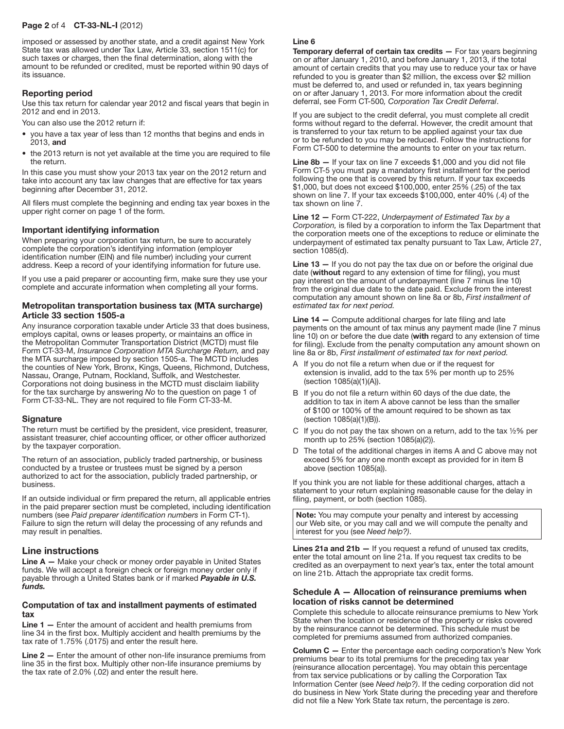### Page 2 of 4 CT-33-NL-I (2012)

imposed or assessed by another state, and a credit against New York State tax was allowed under Tax Law, Article 33, section 1511(c) for such taxes or charges, then the final determination, along with the amount to be refunded or credited, must be reported within 90 days of its issuance.

### Reporting period

Use this tax return for calendar year 2012 and fiscal years that begin in 2012 and end in 2013.

You can also use the 2012 return if:

- you have a tax year of less than 12 months that begins and ends in 2013, and
- the 2013 return is not yet available at the time you are required to file the return.

In this case you must show your 2013 tax year on the 2012 return and take into account any tax law changes that are effective for tax years beginning after December 31, 2012.

All filers must complete the beginning and ending tax year boxes in the upper right corner on page 1 of the form.

### Important identifying information

When preparing your corporation tax return, be sure to accurately complete the corporation's identifying information (employer identification number (EIN) and file number) including your current address. Keep a record of your identifying information for future use.

If you use a paid preparer or accounting firm, make sure they use your complete and accurate information when completing all your forms.

### Metropolitan transportation business tax (MTA surcharge) Article 33 section 1505-a

Any insurance corporation taxable under Article 33 that does business, employs capital, owns or leases property, or maintains an office in the Metropolitan Commuter Transportation District (MCTD) must file Form CT-33-M, *Insurance Corporation MTA Surcharge Return,* and pay the MTA surcharge imposed by section 1505-a. The MCTD includes the counties of New York, Bronx, Kings, Queens, Richmond, Dutchess, Nassau, Orange, Putnam, Rockland, Suffolk, and Westchester. Corporations not doing business in the MCTD must disclaim liability for the tax surcharge by answering *No* to the question on page 1 of Form CT-33-NL. They are not required to file Form CT-33-M.

### **Signature**

The return must be certified by the president, vice president, treasurer, assistant treasurer, chief accounting officer, or other officer authorized by the taxpayer corporation.

The return of an association, publicly traded partnership, or business conducted by a trustee or trustees must be signed by a person authorized to act for the association, publicly traded partnership, or business.

If an outside individual or firm prepared the return, all applicable entries in the paid preparer section must be completed, including identification numbers (see *Paid preparer identification numbers* in Form CT-1). Failure to sign the return will delay the processing of any refunds and may result in penalties.

### Line instructions

Line A — Make your check or money order payable in United States funds. We will accept a foreign check or foreign money order only if payable through a United States bank or if marked *Payable in U.S. funds.*

### Computation of tax and installment payments of estimated tax

Line 1 – Enter the amount of accident and health premiums from line 34 in the first box. Multiply accident and health premiums by the tax rate of 1.75% (.0175) and enter the result here.

Line 2 — Enter the amount of other non-life insurance premiums from line 35 in the first box. Multiply other non-life insurance premiums by the tax rate of 2.0% (.02) and enter the result here.

#### Line 6

**Temporary deferral of certain tax credits**  $-$  **For tax years beginning** on or after January 1, 2010, and before January 1, 2013, if the total amount of certain credits that you may use to reduce your tax or have refunded to you is greater than \$2 million, the excess over \$2 million must be deferred to, and used or refunded in, tax years beginning on or after January 1, 2013. For more information about the credit deferral, see Form CT-500*, Corporation Tax Credit Deferral*.

If you are subject to the credit deferral, you must complete all credit forms without regard to the deferral. However, the credit amount that is transferred to your tax return to be applied against your tax due or to be refunded to you may be reduced. Follow the instructions for Form CT-500 to determine the amounts to enter on your tax return.

Line 8b - If your tax on line 7 exceeds \$1,000 and you did not file Form CT-5 you must pay a mandatory first installment for the period following the one that is covered by this return. If your tax exceeds \$1,000, but does not exceed \$100,000, enter 25% (.25) of the tax shown on line 7. If your tax exceeds \$100,000, enter 40% (.4) of the tax shown on line 7.

Line 12 — Form CT-222, *Underpayment of Estimated Tax by a Corporation,* is filed by a corporation to inform the Tax Department that the corporation meets one of the exceptions to reduce or eliminate the underpayment of estimated tax penalty pursuant to Tax Law, Article 27, section 1085(d).

**Line 13**  $-$  If you do not pay the tax due on or before the original due date (without regard to any extension of time for filing), you must pay interest on the amount of underpayment (line 7 minus line 10) from the original due date to the date paid. Exclude from the interest computation any amount shown on line 8a or 8b, *First installment of estimated tax for next period.*

Line 14 — Compute additional charges for late filing and late payments on the amount of tax minus any payment made (line 7 minus line 10) on or before the due date (with regard to any extension of time for filing). Exclude from the penalty computation any amount shown on line 8a or 8b, *First installment of estimated tax for next period.*

- A If you do not file a return when due or if the request for extension is invalid, add to the tax 5% per month up to 25% (section 1085(a)(1)(A)).
- B If you do not file a return within 60 days of the due date, the addition to tax in item A above cannot be less than the smaller of \$100 or 100% of the amount required to be shown as tax (section 1085(a)(1)(B)).
- C If you do not pay the tax shown on a return, add to the tax  $1/2\%$  per month up to 25% (section 1085(a)(2)).
- D The total of the additional charges in items A and C above may not exceed 5% for any one month except as provided for in item B above (section 1085(a)).

If you think you are not liable for these additional charges, attach a statement to your return explaining reasonable cause for the delay in filing, payment, or both (section 1085).

Note: You may compute your penalty and interest by accessing our Web site, or you may call and we will compute the penalty and interest for you (see *Need help?)*.

Lines 21a and  $21b -$  If you request a refund of unused tax credits, enter the total amount on line 21a. If you request tax credits to be credited as an overpayment to next year's tax, enter the total amount on line 21b. Attach the appropriate tax credit forms.

### Schedule A — Allocation of reinsurance premiums when location of risks cannot be determined

Complete this schedule to allocate reinsurance premiums to New York State when the location or residence of the property or risks covered by the reinsurance cannot be determined. This schedule must be completed for premiums assumed from authorized companies.

Column C – Enter the percentage each ceding corporation's New York premiums bear to its total premiums for the preceding tax year (reinsurance allocation percentage). You may obtain this percentage from tax service publications or by calling the Corporation Tax Information Center (see *Need help?)*. If the ceding corporation did not do business in New York State during the preceding year and therefore did not file a New York State tax return, the percentage is zero.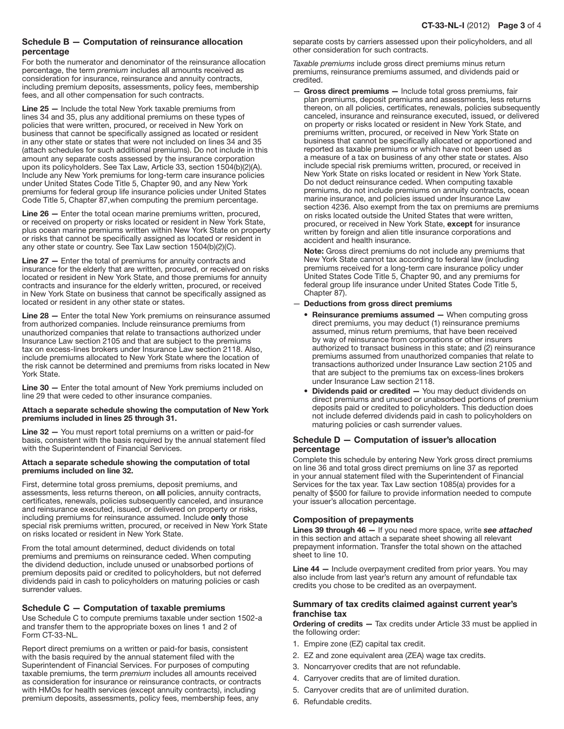# Schedule B — Computation of reinsurance allocation percentage

For both the numerator and denominator of the reinsurance allocation percentage, the term *premium* includes all amounts received as consideration for insurance, reinsurance and annuity contracts, including premium deposits, assessments, policy fees, membership fees, and all other compensation for such contracts.

Line 25 — Include the total New York taxable premiums from lines 34 and 35, plus any additional premiums on these types of policies that were written, procured, or received in New York on business that cannot be specifically assigned as located or resident in any other state or states that were not included on lines 34 and 35 (attach schedules for such additional premiums). Do not include in this amount any separate costs assessed by the insurance corporation upon its policyholders. See Tax Law, Article 33, section 1504(b)(2)(A). Include any New York premiums for long‑term care insurance policies under United States Code Title 5, Chapter 90, and any New York premiums for federal group life insurance policies under United States Code Title 5, Chapter 87,when computing the premium percentage.

Line 26 — Enter the total ocean marine premiums written, procured, or received on property or risks located or resident in New York State, plus ocean marine premiums written within New York State on property or risks that cannot be specifically assigned as located or resident in any other state or country. See Tax Law section 1504(b)(2)(C).

Line 27 — Enter the total of premiums for annuity contracts and insurance for the elderly that are written, procured, or received on risks located or resident in New York State, and those premiums for annuity contracts and insurance for the elderly written, procured, or received in New York State on business that cannot be specifically assigned as located or resident in any other state or states.

Line 28 — Enter the total New York premiums on reinsurance assumed from authorized companies. Include reinsurance premiums from unauthorized companies that relate to transactions authorized under Insurance Law section 2105 and that are subject to the premiums tax on excess-lines brokers under Insurance Law section 2118. Also, include premiums allocated to New York State where the location of the risk cannot be determined and premiums from risks located in New York State.

Line 30 — Enter the total amount of New York premiums included on line 29 that were ceded to other insurance companies.

#### Attach a separate schedule showing the computation of New York premiums included in lines 25 through 31.

Line 32 — You must report total premiums on a written or paid-for basis, consistent with the basis required by the annual statement filed with the Superintendent of Financial Services.

#### Attach a separate schedule showing the computation of total premiums included on line 32.

First, determine total gross premiums, deposit premiums, and assessments, less returns thereon, on all policies, annuity contracts, certificates, renewals, policies subsequently canceled, and insurance and reinsurance executed, issued, or delivered on property or risks, including premiums for reinsurance assumed. Include only those special risk premiums written, procured, or received in New York State on risks located or resident in New York State.

From the total amount determined, deduct dividends on total premiums and premiums on reinsurance ceded. When computing the dividend deduction, include unused or unabsorbed portions of premium deposits paid or credited to policyholders, but not deferred dividends paid in cash to policyholders on maturing policies or cash surrender values.

# Schedule C — Computation of taxable premiums

Use Schedule C to compute premiums taxable under section 1502-a and transfer them to the appropriate boxes on lines 1 and 2 of Form CT-33-NL.

Report direct premiums on a written or paid-for basis, consistent with the basis required by the annual statement filed with the Superintendent of Financial Services. For purposes of computing taxable premiums, the term *premium* includes all amounts received as consideration for insurance or reinsurance contracts, or contracts with HMOs for health services (except annuity contracts), including premium deposits, assessments, policy fees, membership fees, any

separate costs by carriers assessed upon their policyholders, and all other consideration for such contracts.

*Taxable premiums* include gross direct premiums minus return premiums, reinsurance premiums assumed, and dividends paid or credited.

- Gross direct premiums - Include total gross premiums, fair plan premiums, deposit premiums and assessments, less returns thereon, on all policies, certificates, renewals, policies subsequently canceled, insurance and reinsurance executed, issued, or delivered on property or risks located or resident in New York State, and premiums written, procured, or received in New York State on business that cannot be specifically allocated or apportioned and reported as taxable premiums or which have not been used as a measure of a tax on business of any other state or states. Also include special risk premiums written, procured, or received in New York State on risks located or resident in New York State. Do not deduct reinsurance ceded. When computing taxable premiums, do not include premiums on annuity contracts, ocean marine insurance, and policies issued under Insurance Law section 4236. Also exempt from the tax on premiums are premiums on risks located outside the United States that were written, procured, or received in New York State, except for insurance written by foreign and alien title insurance corporations and accident and health insurance.

Note: Gross direct premiums do not include any premiums that New York State cannot tax according to federal law (including premiums received for a long-term care insurance policy under United States Code Title 5, Chapter 90, and any premiums for federal group life insurance under United States Code Title 5, Chapter 87).

### — Deductions from gross direct premiums

- Reinsurance premiums assumed When computing gross direct premiums, you may deduct (1) reinsurance premiums assumed, minus return premiums, that have been received by way of reinsurance from corporations or other insurers authorized to transact business in this state; and (2) reinsurance premiums assumed from unauthorized companies that relate to transactions authorized under Insurance Law section 2105 and that are subject to the premiums tax on excess-lines brokers under Insurance Law section 2118.
- Dividends paid or credited You may deduct dividends on direct premiums and unused or unabsorbed portions of premium deposits paid or credited to policyholders. This deduction does not include deferred dividends paid in cash to policyholders on maturing policies or cash surrender values.

### Schedule D — Computation of issuer's allocation percentage

Complete this schedule by entering New York gross direct premiums on line 36 and total gross direct premiums on line 37 as reported in your annual statement filed with the Superintendent of Financial Services for the tax year. Tax Law section 1085(a) provides for a penalty of \$500 for failure to provide information needed to compute your issuer's allocation percentage.

# Composition of prepayments

Lines 39 through 46 — If you need more space, write *see attached* in this section and attach a separate sheet showing all relevant prepayment information. Transfer the total shown on the attached sheet to line 10.

Line 44 – Include overpayment credited from prior vears. You may also include from last year's return any amount of refundable tax credits you chose to be credited as an overpayment.

# Summary of tax credits claimed against current year's franchise tax

Ordering of credits - Tax credits under Article 33 must be applied in the following order:

- 1. Empire zone (EZ) capital tax credit.
- 2. EZ and zone equivalent area (ZEA) wage tax credits.
- 3. Noncarryover credits that are not refundable.
- 4. Carryover credits that are of limited duration.
- 5. Carryover credits that are of unlimited duration.
- 6. Refundable credits.